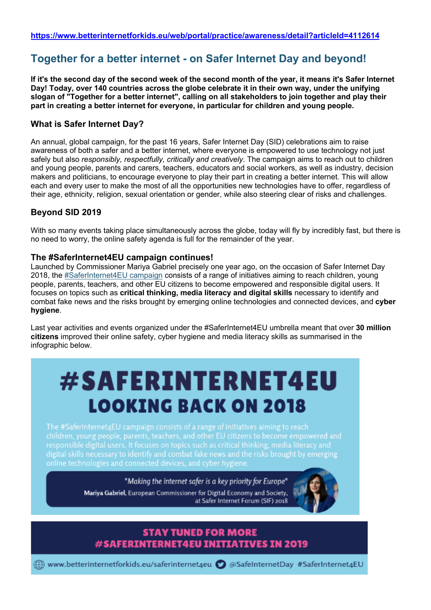## **Together for a better internet - on Safer Internet Day and beyond!**

**If it's the second day of the second week of the second month of the year, it means it's Safer Internet Day! Today, over 140 countries across the globe celebrate it in their own way, under the unifying slogan of "Together for a better internet", calling on all stakeholders to join together and play their part in creating a better internet for everyone, in particular for children and young people.**

#### **What is Safer Internet Day?**

An annual, global campaign, for the past 16 years, Safer Internet Day (SID) celebrations aim to raise awareness of both a safer and a better internet, where everyone is empowered to use technology not just safely but also *responsibly, respectfully, critically and creatively*. The campaign aims to reach out to children and young people, parents and carers, teachers, educators and social workers, as well as industry, decision makers and politicians, to encourage everyone to play their part in creating a better internet. This will allow each and every user to make the most of all the opportunities new technologies have to offer, regardless of their age, ethnicity, religion, sexual orientation or gender, while also steering clear of risks and challenges.

#### **Beyond SID 2019**

With so many events taking place simultaneously across the globe, today will fly by incredibly fast, but there is no need to worry, the online safety agenda is full for the remainder of the year.

#### **The #SaferInternet4EU campaign continues!**

Launched by Commissioner Mariya Gabriel precisely one year ago, on the occasion of Safer Internet Day 2018, the #SaferInternet4EU campaign consists of a range of initiatives aiming to reach children, young people, parents, teachers, and other EU citizens to become empowered and responsible digital users. It focuses on topics such as **critical thinking, media literacy and digital skills** necessary to identify and combat fake news and the risks brought by emerging online technologies and connected devices, and **cyber hygiene**.

Last year activities and events organized under the #SaferInternet4EU umbrella meant that over **30 million citizens** improved their online safety, cyber hygiene and media literacy skills as summarised in the infographic below.

# #SAFERINTERNET4EU **LOOKING BACK ON 2018**

The #SaferInternet4EU campaign consists of a range of initiatives aiming to reach digital skills necessary to identify and combat fake news and the risks brought by emerging online technologies and connected devices, and cyber hygiene.

> "Making the internet safer is a key priority for Europe" Mariya Gabriel, European Commissioner for Digital Economy and Society, at Safer Internet Forum (SIF) 2018



#### **STAY TUNED FOR MORE** #SAFERINTERNET4EU INITIATIVES IN 2019

 $\textcircled{f}$  www.betterinternetforkids.eu/saferinternet4eu  $\textcircled{f}$  @SafeInternetDay #SaferInternet4EU